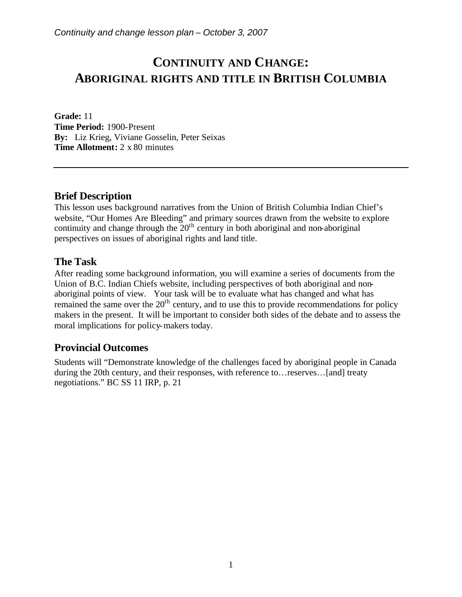# **CONTINUITY AND CHANGE: ABORIGINAL RIGHTS AND TITLE IN BRITISH COLUMBIA**

**Grade:** 11 **Time Period:** 1900-Present **By:** Liz Krieg, Viviane Gosselin, Peter Seixas **Time Allotment:** 2 x 80 minutes

### **Brief Description**

This lesson uses background narratives from the Union of British Columbia Indian Chief's website, "Our Homes Are Bleeding" and primary sources drawn from the website to explore continuity and change through the  $20<sup>th</sup>$  century in both aboriginal and non-aboriginal perspectives on issues of aboriginal rights and land title.

#### **The Task**

After reading some background information, you will examine a series of documents from the Union of B.C. Indian Chiefs website, including perspectives of both aboriginal and nonaboriginal points of view. Your task will be to evaluate what has changed and what has remained the same over the  $20<sup>th</sup>$  century, and to use this to provide recommendations for policy makers in the present. It will be important to consider both sides of the debate and to assess the moral implications for policy-makers today.

### **Provincial Outcomes**

Students will "Demonstrate knowledge of the challenges faced by aboriginal people in Canada during the 20th century, and their responses, with reference to…reserves…[and] treaty negotiations." BC SS 11 IRP, p. 21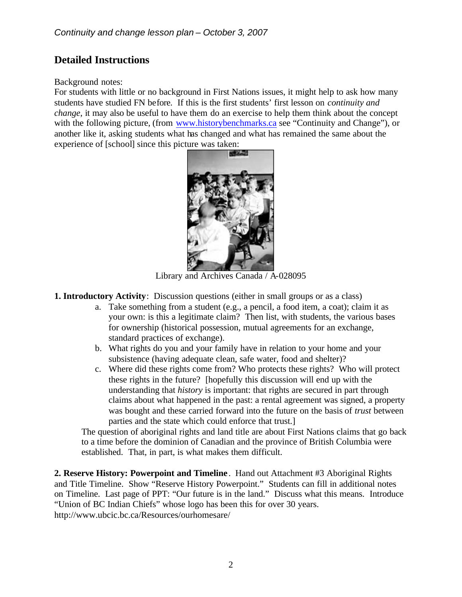## **Detailed Instructions**

#### Background notes:

For students with little or no background in First Nations issues, it might help to ask how many students have studied FN before. If this is the first students' first lesson on *continuity and change*, it may also be useful to have them do an exercise to help them think about the concept with the following picture, (from www.historybenchmarks.ca see "Continuity and Change"), or another like it, asking students what has changed and what has remained the same about the experience of [school] since this picture was taken:



Library and Archives Canada / A-028095

**1. Introductory Activity**: Discussion questions (either in small groups or as a class)

- a. Take something from a student (e.g., a pencil, a food item, a coat); claim it as your own: is this a legitimate claim? Then list, with students, the various bases for ownership (historical possession, mutual agreements for an exchange, standard practices of exchange).
- b. What rights do you and your family have in relation to your home and your subsistence (having adequate clean, safe water, food and shelter)?
- c. Where did these rights come from? Who protects these rights? Who will protect these rights in the future? [hopefully this discussion will end up with the understanding that *history* is important: that rights are secured in part through claims about what happened in the past: a rental agreement was signed, a property was bought and these carried forward into the future on the basis of *trust* between parties and the state which could enforce that trust.]

The question of aboriginal rights and land title are about First Nations claims that go back to a time before the dominion of Canadian and the province of British Columbia were established. That, in part, is what makes them difficult.

**2. Reserve History: Powerpoint and Timeline** . Hand out Attachment #3 Aboriginal Rights and Title Timeline. Show "Reserve History Powerpoint." Students can fill in additional notes on Timeline. Last page of PPT: "Our future is in the land." Discuss what this means. Introduce "Union of BC Indian Chiefs" whose logo has been this for over 30 years. http://www.ubcic.bc.ca/Resources/ourhomesare/